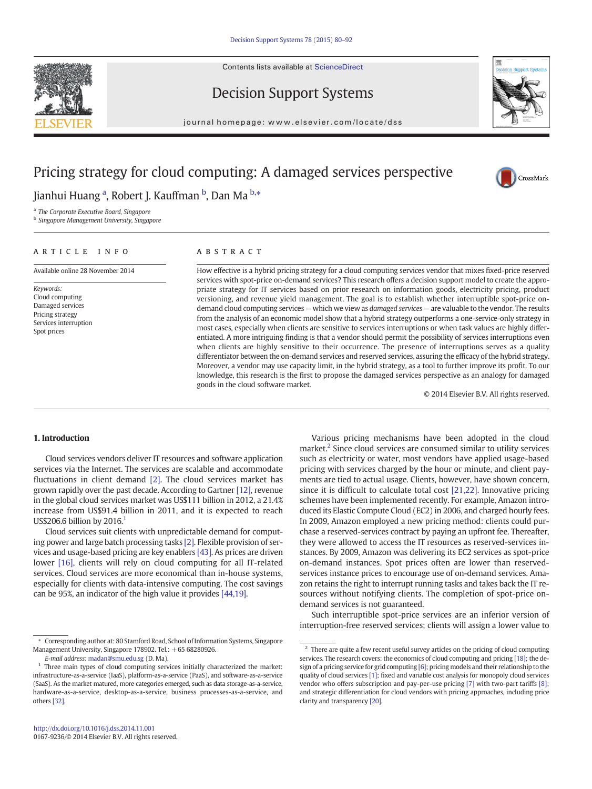Contents lists available at [ScienceDirect](http://www.sciencedirect.com/science/journal/01679236)







journal homepage: www.elsevier.com/locate/dss

## Pricing strategy for cloud computing: A damaged services perspective



Jianhui Huang <sup>a</sup>, Robert J. Kauffman <sup>b</sup>, Dan Ma <sup>b,</sup>\*

<sup>a</sup> The Corporate Executive Board, Singapore

**b** Singapore Management University, Singapore

### article info abstract

Available online 28 November 2014

Keywords: Cloud computing Damaged services Pricing strategy Services interruption Spot prices

How effective is a hybrid pricing strategy for a cloud computing services vendor that mixes fixed-price reserved services with spot-price on-demand services? This research offers a decision support model to create the appropriate strategy for IT services based on prior research on information goods, electricity pricing, product versioning, and revenue yield management. The goal is to establish whether interruptible spot-price ondemand cloud computing services — which we view as damaged services — are valuable to the vendor. The results from the analysis of an economic model show that a hybrid strategy outperforms a one-service-only strategy in most cases, especially when clients are sensitive to services interruptions or when task values are highly differentiated. A more intriguing finding is that a vendor should permit the possibility of services interruptions even when clients are highly sensitive to their occurrence. The presence of interruptions serves as a quality differentiator between the on-demand services and reserved services, assuring the efficacy of the hybrid strategy. Moreover, a vendor may use capacity limit, in the hybrid strategy, as a tool to further improve its profit. To our knowledge, this research is the first to propose the damaged services perspective as an analogy for damaged goods in the cloud software market.

© 2014 Elsevier B.V. All rights reserved.

#### 1. Introduction

Cloud services vendors deliver IT resources and software application services via the Internet. The services are scalable and accommodate fluctuations in client demand [\[2\]](#page--1-0). The cloud services market has grown rapidly over the past decade. According to Gartner [\[12\]](#page--1-0), revenue in the global cloud services market was US\$111 billion in 2012, a 21.4% increase from US\$91.4 billion in 2011, and it is expected to reach US\$206.6 billion by 2016.<sup>1</sup>

Cloud services suit clients with unpredictable demand for computing power and large batch processing tasks [\[2\]](#page--1-0). Flexible provision of services and usage-based pricing are key enablers [\[43\].](#page--1-0) As prices are driven lower [\[16\],](#page--1-0) clients will rely on cloud computing for all IT-related services. Cloud services are more economical than in-house systems, especially for clients with data-intensive computing. The cost savings can be 95%, an indicator of the high value it provides [\[44,19\].](#page--1-0)

Various pricing mechanisms have been adopted in the cloud market.<sup>2</sup> Since cloud services are consumed similar to utility services such as electricity or water, most vendors have applied usage-based pricing with services charged by the hour or minute, and client payments are tied to actual usage. Clients, however, have shown concern, since it is difficult to calculate total cost [\[21,22\]](#page--1-0). Innovative pricing schemes have been implemented recently. For example, Amazon introduced its Elastic Compute Cloud (EC2) in 2006, and charged hourly fees. In 2009, Amazon employed a new pricing method: clients could purchase a reserved-services contract by paying an upfront fee. Thereafter, they were allowed to access the IT resources as reserved-services instances. By 2009, Amazon was delivering its EC2 services as spot-price on-demand instances. Spot prices often are lower than reservedservices instance prices to encourage use of on-demand services. Amazon retains the right to interrupt running tasks and takes back the IT resources without notifying clients. The completion of spot-price ondemand services is not guaranteed.

Such interruptible spot-price services are an inferior version of interruption-free reserved services; clients will assign a lower value to

<sup>⁎</sup> Corresponding author at: 80 Stamford Road, School of Information Systems, Singapore Management University, Singapore 178902. Tel.: +65 68280926.

E-mail address: [madan@smu.edu.sg](mailto:madan@smu.edu.sg) (D. Ma).

 $1$  Three main types of cloud computing services initially characterized the market: infrastructure-as-a-service (IaaS), platform-as-a-service (PaaS), and software-as-a-service (SaaS). As the market matured, more categories emerged, such as data storage-as-a-service, hardware-as-a-service, desktop-as-a-service, business processes-as-a-service, and others [\[32\]](#page--1-0).

 $2$  There are quite a few recent useful survey articles on the pricing of cloud computing services. The research covers: the economics of cloud computing and pricing [\[18\];](#page--1-0) the design of a pricing service for grid computing [\[6\];](#page--1-0) pricing models and their relationship to the quality of cloud services [\[1\]](#page--1-0); fixed and variable cost analysis for monopoly cloud services vendor who offers subscription and pay-per-use pricing [\[7\]](#page--1-0) with two-part tariffs [\[8\];](#page--1-0) and strategic differentiation for cloud vendors with pricing approaches, including price clarity and transparency [\[20\]](#page--1-0).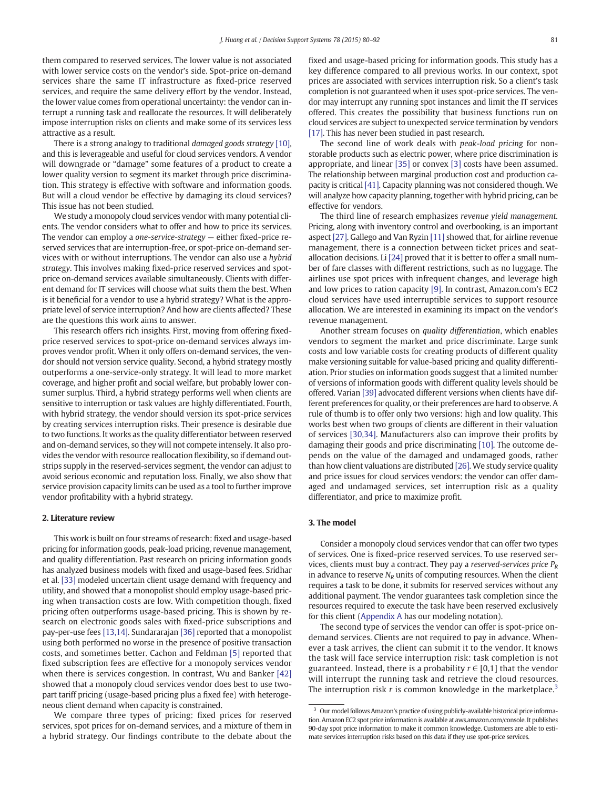them compared to reserved services. The lower value is not associated with lower service costs on the vendor's side. Spot-price on-demand services share the same IT infrastructure as fixed-price reserved services, and require the same delivery effort by the vendor. Instead, the lower value comes from operational uncertainty: the vendor can interrupt a running task and reallocate the resources. It will deliberately impose interruption risks on clients and make some of its services less attractive as a result.

There is a strong analogy to traditional damaged goods strategy [\[10\],](#page--1-0) and this is leverageable and useful for cloud services vendors. A vendor will downgrade or "damage" some features of a product to create a lower quality version to segment its market through price discrimination. This strategy is effective with software and information goods. But will a cloud vendor be effective by damaging its cloud services? This issue has not been studied.

We study a monopoly cloud services vendor with many potential clients. The vendor considers what to offer and how to price its services. The vendor can employ a one-service-strategy — either fixed-price reserved services that are interruption-free, or spot-price on-demand services with or without interruptions. The vendor can also use a hybrid strategy. This involves making fixed-price reserved services and spotprice on-demand services available simultaneously. Clients with different demand for IT services will choose what suits them the best. When is it beneficial for a vendor to use a hybrid strategy? What is the appropriate level of service interruption? And how are clients affected? These are the questions this work aims to answer.

This research offers rich insights. First, moving from offering fixedprice reserved services to spot-price on-demand services always improves vendor profit. When it only offers on-demand services, the vendor should not version service quality. Second, a hybrid strategy mostly outperforms a one-service-only strategy. It will lead to more market coverage, and higher profit and social welfare, but probably lower consumer surplus. Third, a hybrid strategy performs well when clients are sensitive to interruption or task values are highly differentiated. Fourth, with hybrid strategy, the vendor should version its spot-price services by creating services interruption risks. Their presence is desirable due to two functions. It works as the quality differentiator between reserved and on-demand services, so they will not compete intensely. It also provides the vendor with resource reallocation flexibility, so if demand outstrips supply in the reserved-services segment, the vendor can adjust to avoid serious economic and reputation loss. Finally, we also show that service provision capacity limits can be used as a tool to further improve vendor profitability with a hybrid strategy.

#### 2. Literature review

This work is built on four streams of research: fixed and usage-based pricing for information goods, peak-load pricing, revenue management, and quality differentiation. Past research on pricing information goods has analyzed business models with fixed and usage-based fees. Sridhar et al. [\[33\]](#page--1-0) modeled uncertain client usage demand with frequency and utility, and showed that a monopolist should employ usage-based pricing when transaction costs are low. With competition though, fixed pricing often outperforms usage-based pricing. This is shown by research on electronic goods sales with fixed-price subscriptions and pay-per-use fees [\[13,14\].](#page--1-0) Sundararajan [\[36\]](#page--1-0) reported that a monopolist using both performed no worse in the presence of positive transaction costs, and sometimes better. Cachon and Feldman [\[5\]](#page--1-0) reported that fixed subscription fees are effective for a monopoly services vendor when there is services congestion. In contrast, Wu and Banker [\[42\]](#page--1-0) showed that a monopoly cloud services vendor does best to use twopart tariff pricing (usage-based pricing plus a fixed fee) with heterogeneous client demand when capacity is constrained.

We compare three types of pricing: fixed prices for reserved services, spot prices for on-demand services, and a mixture of them in a hybrid strategy. Our findings contribute to the debate about the fixed and usage-based pricing for information goods. This study has a key difference compared to all previous works. In our context, spot prices are associated with services interruption risk. So a client's task completion is not guaranteed when it uses spot-price services. The vendor may interrupt any running spot instances and limit the IT services offered. This creates the possibility that business functions run on cloud services are subject to unexpected service termination by vendors [\[17\].](#page--1-0) This has never been studied in past research.

The second line of work deals with peak-load pricing for nonstorable products such as electric power, where price discrimination is appropriate, and linear [\[35\]](#page--1-0) or convex [\[3\]](#page--1-0) costs have been assumed. The relationship between marginal production cost and production capacity is critical [\[41\]](#page--1-0). Capacity planning was not considered though. We will analyze how capacity planning, together with hybrid pricing, can be effective for vendors.

The third line of research emphasizes revenue yield management. Pricing, along with inventory control and overbooking, is an important aspect [\[27\]](#page--1-0). Gallego and Van Ryzin [\[11\]](#page--1-0) showed that, for airline revenue management, there is a connection between ticket prices and seatallocation decisions. Li [\[24\]](#page--1-0) proved that it is better to offer a small number of fare classes with different restrictions, such as no luggage. The airlines use spot prices with infrequent changes, and leverage high and low prices to ration capacity [\[9\]](#page--1-0). In contrast, Amazon.com's EC2 cloud services have used interruptible services to support resource allocation. We are interested in examining its impact on the vendor's revenue management.

Another stream focuses on quality differentiation, which enables vendors to segment the market and price discriminate. Large sunk costs and low variable costs for creating products of different quality make versioning suitable for value-based pricing and quality differentiation. Prior studies on information goods suggest that a limited number of versions of information goods with different quality levels should be offered. Varian [\[39\]](#page--1-0) advocated different versions when clients have different preferences for quality, or their preferences are hard to observe. A rule of thumb is to offer only two versions: high and low quality. This works best when two groups of clients are different in their valuation of services [\[30,34\]](#page--1-0). Manufacturers also can improve their profits by damaging their goods and price discriminating [\[10\]](#page--1-0). The outcome depends on the value of the damaged and undamaged goods, rather than how client valuations are distributed [\[26\]](#page--1-0). We study service quality and price issues for cloud services vendors: the vendor can offer damaged and undamaged services, set interruption risk as a quality differentiator, and price to maximize profit.

### 3. The model

Consider a monopoly cloud services vendor that can offer two types of services. One is fixed-price reserved services. To use reserved services, clients must buy a contract. They pay a reserved-services price  $P_R$ in advance to reserve  $N_R$  units of computing resources. When the client requires a task to be done, it submits for reserved services without any additional payment. The vendor guarantees task completion since the resources required to execute the task have been reserved exclusively for this client [\(Appendix A](#page--1-0) has our modeling notation).

The second type of services the vendor can offer is spot-price ondemand services. Clients are not required to pay in advance. Whenever a task arrives, the client can submit it to the vendor. It knows the task will face service interruption risk: task completion is not guaranteed. Instead, there is a probability  $r \in [0,1]$  that the vendor will interrupt the running task and retrieve the cloud resources. The interruption risk r is common knowledge in the marketplace.<sup>3</sup>

<sup>&</sup>lt;sup>3</sup> Our model follows Amazon's practice of using publicly-available historical price information. Amazon EC2 spot price information is available at aws.amazon.com/console. It publishes 90-day spot price information to make it common knowledge. Customers are able to estimate services interruption risks based on this data if they use spot-price services.